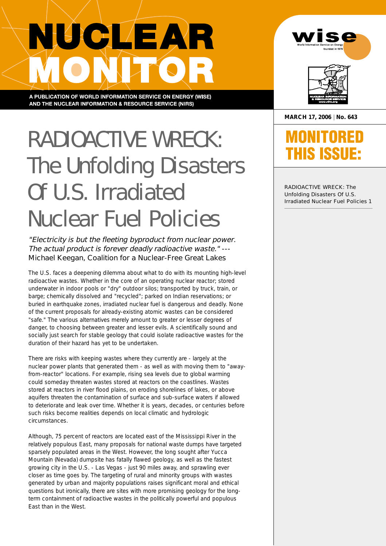# NUCLEAR

A PUBLICATION OF WORLD INFORMATION SERVICE ON ENERGY (WISE) AND THE NUCLEAR INFORMATION & RESOURCE SERVICE (NIRS)

## RADIOACTIVE WRECK: The Unfolding Disasters Of U.S. Irradiated Nuclear Fuel Policies

**"Electricity is but the fleeting byproduct from nuclear power. The actual product is forever deadly radioactive waste." --- Michael Keegan, Coalition for a Nuclear-Free Great Lakes**

The U.S. faces a deepening dilemma about what to do with its mounting high-level radioactive wastes. Whether in the core of an operating nuclear reactor; stored underwater in indoor pools or "dry" outdoor silos; transported by truck, train, or barge; chemically dissolved and "recycled"; parked on Indian reservations; or buried in earthquake zones, irradiated nuclear fuel is dangerous and deadly. None of the current proposals for already-existing atomic wastes can be considered "safe." The various alternatives merely amount to greater or lesser degrees of danger, to choosing between greater and lesser evils. A scientifically sound and socially just search for stable geology that could isolate radioactive wastes for the duration of their hazard has yet to be undertaken.

There are risks with keeping wastes where they currently are - largely at the nuclear power plants that generated them - as well as with moving them to "awayfrom-reactor" locations. For example, rising sea levels due to global warming could someday threaten wastes stored at reactors on the coastlines. Wastes stored at reactors in river flood plains, on eroding shorelines of lakes, or above aquifers threaten the contamination of surface and sub-surface waters if allowed to deteriorate and leak over time. Whether it is years, decades, or centuries before such risks become realities depends on local climatic and hydrologic circumstances.

Although, 75 percent of reactors are located east of the Mississippi River in the relatively populous East, many proposals for national waste dumps have targeted sparsely populated areas in the West. However, the long sought after Yucca Mountain (Nevada) dumpsite has fatally flawed geology, as well as the fastest growing city in the U.S. - Las Vegas - just 90 miles away, and sprawling ever closer as time goes by. The targeting of rural and minority groups with wastes generated by urban and majority populations raises significant moral and ethical questions but ironically, there are sites with more promising geology for the longterm containment of radioactive wastes in the politically powerful and populous East than in the West.





**MARCH 17, 2006 | No. 643**

### **MONITORED THIS ISSUE:**

RADIOACTIVE WRECK: The Unfolding Disasters Of U.S. Irradiated Nuclear Fuel Policies 1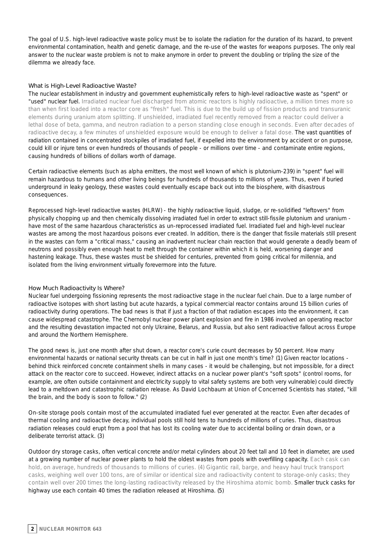The goal of U.S. high-level radioactive waste policy must be to isolate the radiation for the duration of its hazard, to prevent environmental contamination, health and genetic damage, and the re-use of the wastes for weapons purposes. The only real answer to the nuclear waste problem is not to make anymore in order to prevent the doubling or tripling the size of the dilemma we already face.

#### **What is High-Level Radioactive Waste?**

The nuclear establishment in industry and government euphemistically refers to high-level radioactive waste as "spent" or "used" nuclear fuel. Irradiated nuclear fuel discharged from atomic reactors is highly radioactive, a million times more so than when first loaded into a reactor core as "fresh" fuel. This is due to the build up of fission products and transuranic elements during uranium atom splitting. If unshielded, irradiated fuel recently removed from a reactor could deliver a lethal dose of beta, gamma, and neutron radiation to a person standing close enough in seconds. Even after decades of radioactive decay, a few minutes of unshielded exposure would be enough to deliver a fatal dose. The vast quantities of radiation contained in concentrated stockpiles of irradiated fuel, if expelled into the environment by accident or on purpose, could kill or injure tens or even hundreds of thousands of people - or millions over time - and contaminate entire regions, causing hundreds of billions of dollars worth of damage.

Certain radioactive elements (such as alpha emitters, the most well known of which is plutonium-239) in "spent" fuel will remain hazardous to humans and other living beings for hundreds of thousands to millions of years. Thus, even if buried underground in leaky geology, these wastes could eventually escape back out into the biosphere, with disastrous consequences.

Reprocessed high-level radioactive wastes (HLRW) - the highly radioactive liquid, sludge, or re-solidified "leftovers" from physically chopping up and then chemically dissolving irradiated fuel in order to extract still-fissile plutonium and uranium have most of the same hazardous characteristics as un-reprocessed irradiated fuel. Irradiated fuel and high-level nuclear wastes are among the most hazardous poisons ever created. In addition, there is the danger that fissile materials still present in the wastes can form a "critical mass," causing an inadvertent nuclear chain reaction that would generate a deadly beam of neutrons and possibly even enough heat to melt through the container within which it is held, worsening danger and hastening leakage. Thus, these wastes must be shielded for centuries, prevented from going critical for millennia, and isolated from the living environment virtually forevermore into the future.

#### **How Much Radioactivity Is Where?**

Nuclear fuel undergoing fissioning represents the most radioactive stage in the nuclear fuel chain. Due to a large number of radioactive isotopes with short lasting but acute hazards, a typical commercial reactor contains around 15 billion curies of radioactivity during operations. The bad news is that if just a fraction of that radiation escapes into the environment, it can cause widespread catastrophe. The Chernobyl nuclear power plant explosion and fire in 1986 involved an operating reactor and the resulting devastation impacted not only Ukraine, Belarus, and Russia, but also sent radioactive fallout across Europe and around the Northern Hemisphere.

The good news is, just one month after shut down, a reactor core's curie count decreases by 50 percent. How many environmental hazards or national security threats can be cut in half in just one month's time? (1) Given reactor locations behind thick reinforced concrete containment shells in many cases - it would be challenging, but not impossible, for a direct attack on the reactor core to succeed. However, indirect attacks on a nuclear power plant's "soft spots" (control rooms, for example, are often outside containment and electricity supply to vital safety systems are both very vulnerable) could directly lead to a meltdown and catastrophic radiation release. As David Lochbaum at Union of Concerned Scientists has stated, "kill the brain, and the body is soon to follow." (2)

On-site storage pools contain most of the accumulated irradiated fuel ever generated at the reactor. Even after decades of thermal cooling and radioactive decay, individual pools still hold tens to hundreds of millions of curies. Thus, disastrous radiation releases could erupt from a pool that has lost its cooling water due to accidental boiling or drain down, or a deliberate terrorist attack. (3)

Outdoor dry storage casks, often vertical concrete and/or metal cylinders about 20 feet tall and 10 feet in diameter, are used at a growing number of nuclear power plants to hold the oldest wastes from pools with overfilling capacity. Each cask can hold, on average, hundreds of thousands to millions of curies. (4) Gigantic rail, barge, and heavy haul truck transport casks, weighing well over 100 tons, are of similar or identical size and radioactivity content to storage-only casks; they contain well over 200 times the long-lasting radioactivity released by the Hiroshima atomic bomb. Smaller truck casks for highway use each contain 40 times the radiation released at Hiroshima. (5)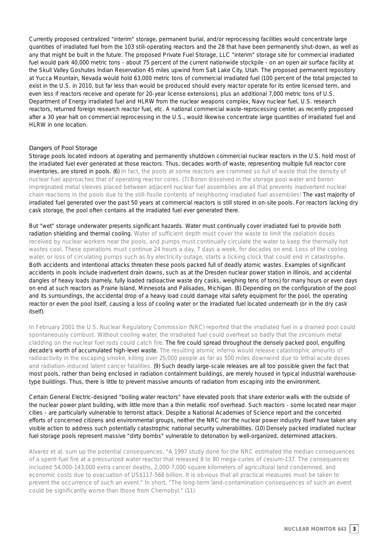Currently proposed centralized "interim" storage, permanent burial, and/or reprocessing facilities would concentrate large quantities of irradiated fuel from the 103 still-operating reactors and the 28 that have been permanently shut-down, as well as any that might be built in the future. The proposed Private Fuel Storage, LLC "interim" storage site for commercial irradiated fuel would park 40,000 metric tons - about 75 percent of the current nationwide stockpile - on an open air surface facility at the Skull Valley Goshutes Indian Reservation 45 miles upwind from Salt Lake City, Utah. The proposed permanent repository at Yucca Mountain, Nevada would hold 63,000 metric tons of commercial irradiated fuel (100 percent of the total projected to exist in the U.S. in 2010, but far less than would be produced should every reactor operate for its entire licensed term, and even less if reactors receive and operate for 20-year license extensions), plus an additional 7,000 metric tons of U.S. Department of Energy irradiated fuel and HLRW from the nuclear weapons complex, Navy nuclear fuel, U.S. research reactors, returned foreign research reactor fuel, etc. A national commercial waste-reprocessing center, as recently proposed after a 30 year halt on commercial reprocessing in the U.S., would likewise concentrate large quantities of irradiated fuel and HLRW in one location.

#### **Dangers of Pool Storage**

Storage pools located indoors at operating and permanently shutdown commercial nuclear reactors in the U.S. hold most of the irradiated fuel ever generated at those reactors. Thus, decades worth of waste, representing multiple full reactor core inventories, are stored in pools. (6) In fact, the pools at some reactors are crammed so full of waste that the density of nuclear fuel approaches that of operating reactor cores. (7) Boron dissolved in the storage pool water and boron impregnated metal sleeves placed between adjacent nuclear fuel assemblies are all that prevents inadvertent nuclear chain reactions in the pools due to the still-fissile contents of neighboring irradiated fuel assemblies! The vast majority of irradiated fuel generated over the past 50 years at commercial reactors is still stored in on-site pools. For reactors lacking dry cask storage, the pool often contains all the irradiated fuel ever generated there.

But "wet" storage underwater presents significant hazards. Water must continually cover irradiated fuel to provide both radiation shielding and thermal cooling. Water of sufficient depth must cover the waste to limit the radiation doses received by nuclear workers near the pools, and pumps must continually circulate the water to keep the thermally hot wastes cool. These operations must continue 24 hours a day, 7 days a week, for decades on end. Loss of the cooling water, or loss of circulating pumps such as by electricity outage, starts a ticking clock that could end in catastrophe. Both accidents and intentional attacks threaten these pools packed full of deadly atomic wastes. Examples of significant accidents in pools include inadvertent drain downs, such as at the Dresden nuclear power station in Illinois, and accidental dangles of heavy loads (namely, fully loaded radioactive waste dry casks, weighing tens of tons) for many hours or even days on end at such reactors as Prairie Island, Minnesota and Palisades, Michigan. (8) Depending on the configuration of the pool and its surroundings, the accidental drop of a heavy load could damage vital safety equipment for the pool, the operating reactor or even the pool itself, causing a loss of cooling water or the irradiated fuel located underneath (or in the dry cask itself).

In February 2001 the U.S. Nuclear Regulatory Commission (NRC) reported that the irradiated fuel in a drained pool could spontaneously combust. Without cooling water, the irradiated fuel could overheat so badly that the zirconium metal cladding on the nuclear fuel rods could catch fire. The fire could spread throughout the densely packed pool, engulfing decade's worth of accumulated high-level waste. The resulting atomic inferno would release catastrophic amounts of radioactivity in the escaping smoke, killing over 25,000 people as far as 500 miles downwind due to lethal acute doses and radiation-induced latent cancer fatalities. (9) Such deadly large-scale releases are all too possible given the fact that most pools, rather than being enclosed in radiation containment buildings, are merely housed in typical industrial warehousetype buildings. Thus, there is little to prevent massive amounts of radiation from escaping into the environment.

Certain General Electric-designed "boiling water reactors" have elevated pools that share exterior walls with the outside of the nuclear power plant building, with little more than a thin metallic roof overhead. Such reactors - some located near major cities - are particularly vulnerable to terrorist attack. Despite a National Academies of Science report and the concerted efforts of concerned citizens and environmental groups, neither the NRC nor the nuclear power industry itself have taken any visible action to address such potentially catastrophic national security vulnerabilities. (10) Densely packed irradiated nuclear fuel storage pools represent massive "dirty bombs" vulnerable to detonation by well-organized, determined attackers.

Alvarez et al. sum up the potential consequences, "A 1997 study done for the NRC estimated the median consequences of a spent-fuel fire at a pressurized water reactor that released 8 to 80 mega-curies of cesium-137. The consequences included 54,000-143,000 extra cancer deaths, 2,000-7,000 square kilometers of agricultural land condemned, and economic costs due to evacuation of US\$117-566 billion. It is obvious that all practical measures must be taken to prevent the occurrence of such an event." In short, "The long-term land-contamination consequences of such an event could be significantly worse than those from Chernobyl." (11)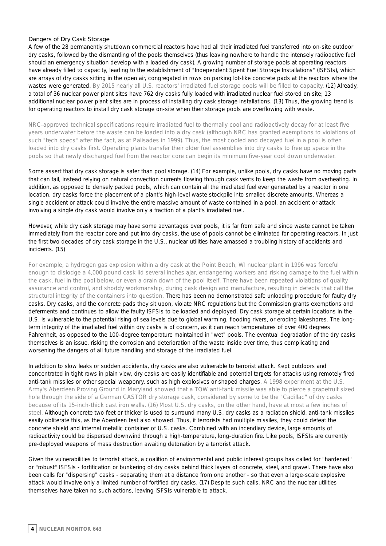#### **Dangers of Dry Cask Storage**

A few of the 28 permanently shutdown commercial reactors have had all their irradiated fuel transferred into on-site outdoor dry casks, followed by the dismantling of the pools themselves (thus leaving nowhere to handle the intensely radioactive fuel should an emergency situation develop with a loaded dry cask). A growing number of storage pools at operating reactors have already filled to capacity, leading to the establishment of "Independent Spent Fuel Storage Installations" (ISFSIs), which are arrays of dry casks sitting in the open air, congregated in rows on parking lot-like concrete pads at the reactors where the wastes were generated. By 2015 nearly all U.S. reactors' irradiated fuel storage pools will be filled to capacity. (12) Already, a total of 36 nuclear power plant sites have 762 dry casks fully loaded with irradiated nuclear fuel stored on site; 13 additional nuclear power plant sites are in process of installing dry cask storage installations. (13) Thus, the growing trend is for operating reactors to install dry cask storage on-site when their storage pools are overflowing with waste.

NRC-approved technical specifications require irradiated fuel to thermally cool and radioactively decay for at least five years underwater before the waste can be loaded into a dry cask (although NRC has granted exemptions to violations of such "tech specs" after the fact, as at Palisades in 1999). Thus, the most cooled and decayed fuel in a pool is often loaded into dry casks first. Operating plants transfer their older fuel assemblies into dry casks to free up space in the pools so that newly discharged fuel from the reactor core can begin its minimum five-year cool down underwater.

Some assert that dry cask storage is safer than pool storage. (14) For example, unlike pools, dry casks have no moving parts that can fail, instead relying on natural convection currents flowing through cask vents to keep the waste from overheating. In addition, as opposed to densely packed pools, which can contain all the irradiated fuel ever generated by a reactor in one location, dry casks force the placement of a plant's high-level waste stockpile into smaller, discrete amounts. Whereas a single accident or attack could involve the entire massive amount of waste contained in a pool, an accident or attack involving a single dry cask would involve only a fraction of a plant's irradiated fuel.

However, while dry cask storage may have some advantages over pools, it is far from safe and since waste cannot be taken immediately from the reactor core and put into dry casks, the use of pools cannot be eliminated for operating reactors. In just the first two decades of dry cask storage in the U.S., nuclear utilities have amassed a troubling history of accidents and incidents. (15)

For example, a hydrogen gas explosion within a dry cask at the Point Beach, WI nuclear plant in 1996 was forceful enough to dislodge a 4,000 pound cask lid several inches ajar, endangering workers and risking damage to the fuel within the cask, fuel in the pool below, or even a drain down of the pool itself. There have been repeated violations of quality assurance and control, and shoddy workmanship, during cask design and manufacture, resulting in defects that call the structural integrity of the containers into question. There has been no demonstrated safe unloading procedure for faulty dry casks. Dry casks, and the concrete pads they sit upon, violate NRC regulations but the Commission grants exemptions and deferments and continues to allow the faulty ISFSIs to be loaded and deployed. Dry cask storage at certain locations in the U.S. is vulnerable to the potential rising of sea levels due to global warming, flooding rivers, or eroding lakeshores. The longterm integrity of the irradiated fuel within dry casks is of concern, as it can reach temperatures of over 400 degrees Fahrenheit, as opposed to the 100-degree temperature maintained in "wet" pools. The eventual degradation of the dry casks themselves is an issue, risking the corrosion and deterioration of the waste inside over time, thus complicating and worsening the dangers of all future handling and storage of the irradiated fuel.

In addition to slow leaks or sudden accidents, dry casks are also vulnerable to terrorist attack. Kept outdoors and concentrated in tight rows in plain view, dry casks are easily identifiable and potential targets for attacks using remotely fired anti-tank missiles or other special weaponry, such as high explosives or shaped charges. A 1998 experiment at the U.S. Army's Aberdeen Proving Ground in Maryland showed that a TOW anti-tank missile was able to pierce a grapefruit sized hole through the side of a German CASTOR dry storage cask, considered by some to be the "Cadillac" of dry casks because of its 15-inch-thick cast iron walls. (16) Most U.S. dry casks, on the other hand, have at most a few inches of steel. Although concrete two feet or thicker is used to surround many U.S. dry casks as a radiation shield, anti-tank missiles easily obliterate this, as the Aberdeen test also showed. Thus, if terrorists had multiple missiles, they could defeat the concrete shield and internal metallic container of U.S. casks. Combined with an incendiary device, large amounts of radioactivity could be dispersed downwind through a high-temperature, long-duration fire. Like pools, ISFSIs are currently pre-deployed weapons of mass destruction awaiting detonation by a terrorist attack.

Given the vulnerabilities to terrorist attack, a coalition of environmental and public interest groups has called for "hardened" or "robust" ISFSIs - fortification or bunkering of dry casks behind thick layers of concrete, steel, and gravel. There have also been calls for "dispersing" casks - separating them at a distance from one another - so that even a large-scale explosive attack would involve only a limited number of fortified dry casks. (17) Despite such calls, NRC and the nuclear utilities themselves have taken no such actions, leaving ISFSIs vulnerable to attack.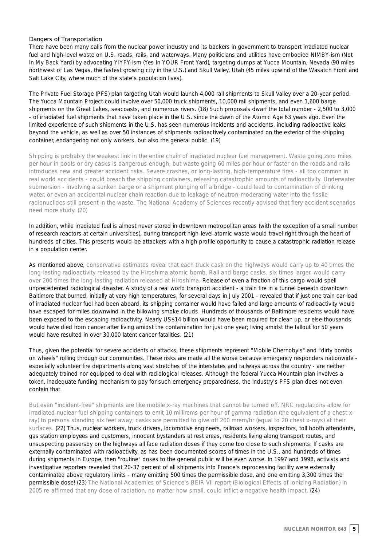#### **Dangers of Transportation**

There have been many calls from the nuclear power industry and its backers in government to transport irradiated nuclear fuel and high-level waste on U.S. roads, rails, and waterways. Many politicians and utilities have embodied NIMBY-ism (Not In My Back Yard) by advocating YIYFY-ism (Yes In YOUR Front Yard), targeting dumps at Yucca Mountain, Nevada (90 miles northwest of Las Vegas, the fastest growing city in the U.S.) and Skull Valley, Utah (45 miles upwind of the Wasatch Front and Salt Lake City, where much of the state's population lives).

The Private Fuel Storage (PFS) plan targeting Utah would launch 4,000 rail shipments to Skull Valley over a 20-year period. The Yucca Mountain Project could involve over 50,000 truck shipments, 10,000 rail shipments, and even 1,600 barge shipments on the Great Lakes, seacoasts, and numerous rivers. (18) Such proposals dwarf the total number - 2,500 to 3,000 - of irradiated fuel shipments that have taken place in the U.S. since the dawn of the Atomic Age 63 years ago. Even the limited experience of such shipments in the U.S. has seen numerous incidents and accidents, including radioactive leaks beyond the vehicle, as well as over 50 instances of shipments radioactively contaminated on the exterior of the shipping container, endangering not only workers, but also the general public. (19)

Shipping is probably the weakest link in the entire chain of irradiated nuclear fuel management. Waste going zero miles per hour in pools or dry casks is dangerous enough, but waste going 60 miles per hour or faster on the roads and rails introduces new and greater accident risks. Severe crashes, or long-lasting, high-temperature fires - all too common in real world accidents - could breach the shipping containers, releasing catastrophic amounts of radioactivity. Underwater submersion - involving a sunken barge or a shipment plunging off a bridge - could lead to contamination of drinking water, or even an accidental nuclear chain reaction due to leakage of neutron-moderating water into the fissile radionuclides still present in the waste. The National Academy of Sciences recently advised that fiery accident scenarios need more study. (20)

In addition, while irradiated fuel is almost never stored in downtown metropolitan areas (with the exception of a small number of research reactors at certain universities), during transport high-level atomic waste would travel right through the heart of hundreds of cities. This presents would-be attackers with a high profile opportunity to cause a catastrophic radiation release in a population center.

As mentioned above, conservative estimates reveal that each truck cask on the highways would carry up to 40 times the long-lasting radioactivity released by the Hiroshima atomic bomb. Rail and barge casks, six times larger, would carry over 200 times the long-lasting radiation released at Hiroshima. Release of even a fraction of this cargo would spell unprecedented radiological disaster. A study of a real world transport accident - a train fire in a tunnel beneath downtown Baltimore that burned, initially at very high temperatures, for several days in July 2001 - revealed that if just one train car load of irradiated nuclear fuel had been aboard, its shipping container would have failed and large amounts of radioactivity would have escaped for miles downwind in the billowing smoke clouds. Hundreds of thousands of Baltimore residents would have been exposed to the escaping radioactivity. Nearly US\$14 billion would have been required for clean up, or else thousands would have died from cancer after living amidst the contamination for just one year; living amidst the fallout for 50 years would have resulted in over 30,000 latent cancer fatalities. (21)

Thus, given the potential for severe accidents or attacks, these shipments represent "Mobile Chernobyls" and "dirty bombs on wheels" rolling through our communities. These risks are made all the worse because emergency responders nationwide especially volunteer fire departments along vast stretches of the interstates and railways across the country - are neither adequately trained nor equipped to deal with radiological releases. Although the federal Yucca Mountain plan involves a token, inadequate funding mechanism to pay for such emergency preparedness, the industry's PFS plan does not even contain that.

But even "incident-free" shipments are like mobile x-ray machines that cannot be turned off. NRC regulations allow for irradiated nuclear fuel shipping containers to emit 10 millirems per hour of gamma radiation (the equivalent of a chest xray) to persons standing six feet away; casks are permitted to give off 200 mrem/hr (equal to 20 chest x-rays) at their surfaces. (22) Thus, nuclear workers, truck drivers, locomotive engineers, railroad workers, inspectors, toll booth attendants, gas station employees and customers, innocent bystanders at rest areas, residents living along transport routes, and unsuspecting passersby on the highways all face radiation doses if they come too close to such shipments. If casks are externally contaminated with radioactivity, as has been documented scores of times in the U.S., and hundreds of times during shipments in Europe, then "routine" doses to the general public will be even worse. In 1997 and 1998, activists and investigative reporters revealed that 20-37 percent of all shipments into France's reprocessing facility were externally contaminated above regulatory limits - many emitting 500 times the permissible dose, and one emitting 3,300 times the permissible dose! (23) The National Academies of Science's BEIR VII report (Biological Effects of Ionizing Radiation) in 2005 re-affirmed that any dose of radiation, no matter how small, could inflict a negative health impact. (24)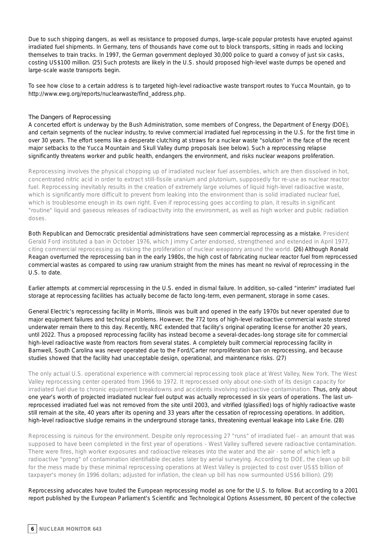Due to such shipping dangers, as well as resistance to proposed dumps, large-scale popular protests have erupted against irradiated fuel shipments. In Germany, tens of thousands have come out to block transports, sitting in roads and locking themselves to train tracks. In 1997, the German government deployed 30,000 police to guard a convoy of just six casks, costing US\$100 million. (25) Such protests are likely in the U.S. should proposed high-level waste dumps be opened and large-scale waste transports begin.

To see how close to a certain address is to targeted high-level radioactive waste transport routes to Yucca Mountain, go to http://www.ewg.org/reports/nuclearwaste/find\_address.php.

#### **The Dangers of Reprocessing**

A concerted effort is underway by the Bush Administration, some members of Congress, the Department of Energy (DOE), and certain segments of the nuclear industry, to revive commercial irradiated fuel reprocessing in the U.S. for the first time in over 30 years. The effort seems like a desperate clutching at straws for a nuclear waste "solution" in the face of the recent major setbacks to the Yucca Mountain and Skull Valley dump proposals (see below). Such a reprocessing relapse significantly threatens worker and public health, endangers the environment, and risks nuclear weapons proliferation.

Reprocessing involves the physical chopping up of irradiated nuclear fuel assemblies, which are then dissolved in hot, concentrated nitric acid in order to extract still-fissile uranium and plutonium, supposedly for re-use as nuclear reactor fuel. Reprocessing inevitably results in the creation of extremely large volumes of liquid high-level radioactive waste, which is significantly more difficult to prevent from leaking into the environment than is solid irradiated nuclear fuel, which is troublesome enough in its own right. Even if reprocessing goes according to plan, it results in significant "routine" liquid and gaseous releases of radioactivity into the environment, as well as high worker and public radiation doses.

Both Republican and Democratic presidential administrations have seen commercial reprocessing as a mistake. President Gerald Ford instituted a ban in October 1976, which Jimmy Carter endorsed, strengthened and extended in April 1977, citing commercial reprocessing as risking the proliferation of nuclear weaponry around the world. (26) Although Ronald Reagan overturned the reprocessing ban in the early 1980s, the high cost of fabricating nuclear reactor fuel from reprocessed commercial wastes as compared to using raw uranium straight from the mines has meant no revival of reprocessing in the U.S. to date.

Earlier attempts at commercial reprocessing in the U.S. ended in dismal failure. In addition, so-called "interim" irradiated fuel storage at reprocessing facilities has actually become de facto long-term, even permanent, storage in some cases.

General Electric's reprocessing facility in Morris, Illinois was built and opened in the early 1970s but never operated due to major equipment failures and technical problems. However, the 772 tons of high-level radioactive commercial waste stored underwater remain there to this day. Recently, NRC extended that facility's original operating license for another 20 years, until 2022. Thus a proposed reprocessing facility has instead become a several-decades-long storage site for commercial high-level radioactive waste from reactors from several states. A completely built commercial reprocessing facility in Barnwell, South Carolina was never operated due to the Ford/Carter nonproliferation ban on reprocessing, and because studies showed that the facility had unacceptable design, operational, and maintenance risks. (27)

The only actual U.S. operational experience with commercial reprocessing took place at West Valley, New York. The West Valley reprocessing center operated from 1966 to 1972. It reprocessed only about one-sixth of its design capacity for irradiated fuel due to chronic equipment breakdowns and accidents involving radioactive contamination. Thus, only about one year's worth of projected irradiated nuclear fuel output was actually reprocessed in six years of operations. The last unreprocessed irradiated fuel was not removed from the site until 2003, and vitrified (glassified) logs of highly radioactive waste still remain at the site, 40 years after its opening and 33 years after the cessation of reprocessing operations. In addition, high-level radioactive sludge remains in the underground storage tanks, threatening eventual leakage into Lake Erie. (28)

Reprocessing is ruinous for the environment. Despite only reprocessing 27 "runs" of irradiated fuel - an amount that was supposed to have been completed in the first year of operations - West Valley suffered severe radioactive contamination. There were fires, high worker exposures and radioactive releases into the water and the air - some of which left a radioactive "prong" of contamination identifiable decades later by aerial surveying. According to DOE, the clean up bill for the mess made by these minimal reprocessing operations at West Valley is projected to cost over US\$5 billion of taxpayer's money (in 1996 dollars; adjusted for inflation, the clean up bill has now surmounted US\$6 billion). (29)

Reprocessing advocates have touted the European reprocessing model as one for the U.S. to follow. But according to a 2001 report published by the European Parliament's Scientific and Technological Options Assessment, 80 percent of the collective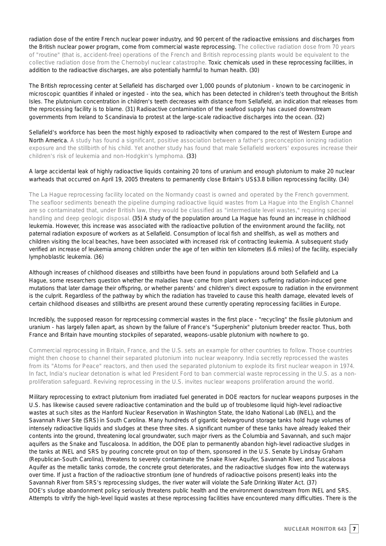radiation dose of the entire French nuclear power industry, and 90 percent of the radioactive emissions and discharges from the British nuclear power program, come from commercial waste reprocessing. The collective radiation dose from 70 years of "routine" (that is, accident-free) operations of the French and British reprocessing plants would be equivalent to the collective radiation dose from the Chernobyl nuclear catastrophe. Toxic chemicals used in these reprocessing facilities, in addition to the radioactive discharges, are also potentially harmful to human health. (30)

The British reprocessing center at Sellafield has discharged over 1,000 pounds of plutonium - known to be carcinogenic in microscopic quantities if inhaled or ingested - into the sea, which has been detected in children's teeth throughout the British Isles. The plutonium concentration in children's teeth decreases with distance from Sellafield, an indication that releases from the reprocessing facility is to blame. (31) Radioactive contamination of the seafood supply has caused downstream governments from Ireland to Scandinavia to protest at the large-scale radioactive discharges into the ocean. (32)

Sellafield's workforce has been the most highly exposed to radioactivity when compared to the rest of Western Europe and North America. A study has found a significant, positive association between a father's preconception ionizing radiation exposure and the stillbirth of his child. Yet another study has found that male Sellafield workers' exposures increase their children's risk of leukemia and non-Hodgkin's lymphoma. (33)

#### A large accidental leak of highly radioactive liquids containing 20 tons of uranium and enough plutonium to make 20 nuclear warheads that occurred on April 19, 2005 threatens to permanently close Britain's US\$3.8 billion reprocessing facility. (34)

The La Hague reprocessing facility located on the Normandy coast is owned and operated by the French government. The seafloor sediments beneath the pipeline dumping radioactive liquid wastes from La Hague into the English Channel are so contaminated that, under British law, they would be classified as "intermediate level wastes," requiring special handling and deep geologic disposal. (35) A study of the population around La Hague has found an increase in childhood leukemia. However, this increase was associated with the radioactive pollution of the environment around the facility, not paternal radiation exposure of workers as at Sellafield. Consumption of local fish and shellfish, as well as mothers and children visiting the local beaches, have been associated with increased risk of contracting leukemia. A subsequent study verified an increase of leukemia among children under the age of ten within ten kilometers (6.6 miles) of the facility, especially lymphoblastic leukemia. (36)

Although increases of childhood diseases and stillbirths have been found in populations around both Sellafield and La Hague, some researchers question whether the maladies have come from plant workers suffering radiation-induced gene mutations that later damage their offspring, or whether parents' and children's direct exposure to radiation in the environment is the culprit. Regardless of the pathway by which the radiation has traveled to cause this health damage, elevated levels of certain childhood diseases and stillbirths are present around these currently operating reprocessing facilities in Europe.

#### Incredibly, the supposed reason for reprocessing commercial wastes in the first place - "recycling" the fissile plutonium and uranium - has largely fallen apart, as shown by the failure of France's "Superphenix" plutonium breeder reactor. Thus, both France and Britain have mounting stockpiles of separated, weapons-usable plutonium with nowhere to go.

Commercial reprocessing in Britain, France, and the U.S. sets an example for other countries to follow. Those countries might then choose to channel their separated plutonium into nuclear weaponry. India secretly reprocessed the wastes from its "Atoms for Peace" reactors, and then used the separated plutonium to explode its first nuclear weapon in 1974. In fact, India's nuclear detonation is what led President Ford to ban commercial waste reprocessing in the U.S. as a nonproliferation safeguard. Reviving reprocessing in the U.S. invites nuclear weapons proliferation around the world.

Military reprocessing to extract plutonium from irradiated fuel generated in DOE reactors for nuclear weapons purposes in the U.S. has likewise caused severe radioactive contamination and the build up of troublesome liquid high-level radioactive wastes at such sites as the Hanford Nuclear Reservation in Washington State, the Idaho National Lab (INEL), and the Savannah River Site (SRS) in South Carolina. Many hundreds of gigantic belowground storage tanks hold huge volumes of intensely radioactive liquids and sludges at these three sites. A significant number of these tanks have already leaked their contents into the ground, threatening local groundwater, such major rivers as the Columbia and Savannah, and such major aquifers as the Snake and Tuscaloosa. In addition, the DOE plan to permanently abandon high-level radioactive sludges in the tanks at INEL and SRS by pouring concrete grout on top of them, sponsored in the U.S. Senate by Lindsay Graham (Republican-South Carolina), threatens to severely contaminate the Snake River Aquifer, Savannah River, and Tuscaloosa Aquifer as the metallic tanks corrode, the concrete grout deteriorates, and the radioactive sludges flow into the waterways over time. If just a fraction of the radioactive strontium (one of hundreds of radioactive poisons present) leaks into the Savannah River from SRS's reprocessing sludges, the river water will violate the Safe Drinking Water Act. (37) DOE's sludge abandonment policy seriously threatens public health and the environment downstream from INEL and SRS. Attempts to vitrify the high-level liquid wastes at these reprocessing facilities have encountered many difficulties. There is the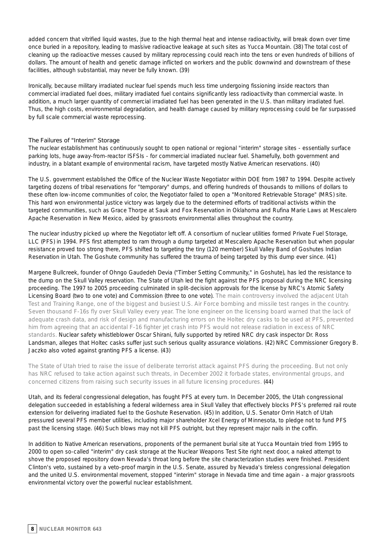added concern that vitrified liquid wastes, due to the high thermal heat and intense radioactivity, will break down over time once buried in a repository, leading to massive radioactive leakage at such sites as Yucca Mountain. (38) The total cost of cleaning up the radioactive messes caused by military reprocessing could reach into the tens or even hundreds of billions of dollars. The amount of health and genetic damage inflicted on workers and the public downwind and downstream of these facilities, although substantial, may never be fully known. (39)

Ironically, because military irradiated nuclear fuel spends much less time undergoing fissioning inside reactors than commercial irradiated fuel does, military irradiated fuel contains significantly less radioactivity than commercial waste. In addition, a much larger quantity of commercial irradiated fuel has been generated in the U.S. than military irradiated fuel. Thus, the high costs, environmental degradation, and health damage caused by military reprocessing could be far surpassed by full scale commercial waste reprocessing.

#### **The Failures of "Interim" Storage**

The nuclear establishment has continuously sought to open national or regional "interim" storage sites - essentially surface parking lots, huge away-from-reactor ISFSIs - for commercial irradiated nuclear fuel. Shamefully, both government and industry, in a blatant example of environmental racism, have targeted mostly Native American reservations. (40)

The U.S. government established the Office of the Nuclear Waste Negotiator within DOE from 1987 to 1994. Despite actively targeting dozens of tribal reservations for "temporary" dumps, and offering hundreds of thousands to millions of dollars to these often low-income communities of color, the Negotiator failed to open a "Monitored Retrievable Storage" (MRS) site. This hard won environmental justice victory was largely due to the determined efforts of traditional activists within the targeted communities, such as Grace Thorpe at Sauk and Fox Reservation in Oklahoma and Rufina Marie Laws at Mescalero Apache Reservation in New Mexico, aided by grassroots environmental allies throughout the country.

The nuclear industry picked up where the Negotiator left off. A consortium of nuclear utilities formed Private Fuel Storage, LLC (PFS) in 1994. PFS first attempted to ram through a dump targeted at Mescalero Apache Reservation but when popular resistance proved too strong there, PFS shifted to targeting the tiny (120 member) Skull Valley Band of Goshutes Indian Reservation in Utah. The Goshute community has suffered the trauma of being targeted by this dump ever since. (41)

Margene Bullcreek, founder of Ohngo Gaudedeh Devia ("Timber Setting Community," in Goshute), has led the resistance to the dump on the Skull Valley reservation. The State of Utah led the fight against the PFS proposal during the NRC licensing proceeding. The 1997 to 2005 proceeding culminated in split-decision approvals for the license by NRC's Atomic Safety Licensing Board (two to one vote) and Commission (three to one vote). The main controversy involved the adjacent Utah Test and Training Range, one of the biggest and busiest U.S. Air Force bombing and missile test ranges in the country. Seven thousand F-16s fly over Skull Valley every year. The lone engineer on the licensing board warned that the lack of adequate crash data, and risk of design and manufacturing errors on the Holtec dry casks to be used at PFS, prevented him from agreeing that an accidental F-16 fighter jet crash into PFS would not release radiation in excess of NRC standards. Nuclear safety whistleblower Oscar Shirani, fully supported by retired NRC dry cask inspector Dr. Ross Landsman, alleges that Holtec casks suffer just such serious quality assurance violations. (42) NRC Commissioner Gregory B. Jaczko also voted against granting PFS a license. (43)

The State of Utah tried to raise the issue of deliberate terrorist attack against PFS during the proceeding. But not only has NRC refused to take action against such threats, in December 2002 it forbade states, environmental groups, and concerned citizens from raising such security issues in all future licensing procedures. (44)

Utah, and its federal congressional delegation, has fought PFS at every turn. In December 2005, the Utah congressional delegation succeeded in establishing a federal wilderness area in Skull Valley that effectively blocks PFS's preferred rail route extension for delivering irradiated fuel to the Goshute Reservation. (45) In addition, U.S. Senator Orrin Hatch of Utah pressured several PFS member utilities, including major shareholder Xcel Energy of Minnesota, to pledge not to fund PFS past the licensing stage. (46) Such blows may not kill PFS outright, but they represent major nails in the coffin.

In addition to Native American reservations, proponents of the permanent burial site at Yucca Mountain tried from 1995 to 2000 to open so-called "interim" dry cask storage at the Nuclear Weapons Test Site right next door, a naked attempt to shove the proposed repository down Nevada's throat long before the site characterization studies were finished. President Clinton's veto, sustained by a veto-proof margin in the U.S. Senate, assured by Nevada's tireless congressional delegation and the united U.S. environmental movement, stopped "interim" storage in Nevada time and time again - a major grassroots environmental victory over the powerful nuclear establishment.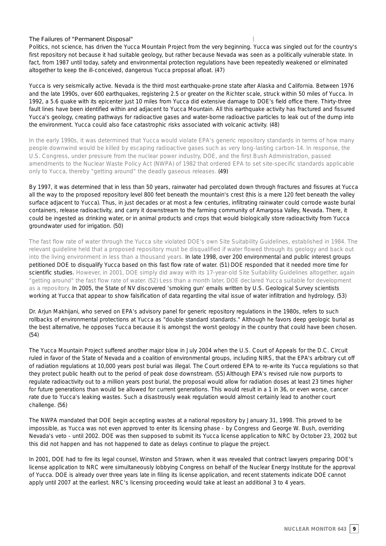#### **The Failures of "Permanent Disposal"**

Politics, not science, has driven the Yucca Mountain Project from the very beginning. Yucca was singled out for the country's first repository not because it had suitable geology, but rather because Nevada was seen as a politically vulnerable state. In fact, from 1987 until today, safety and environmental protection regulations have been repeatedly weakened or eliminated altogether to keep the ill-conceived, dangerous Yucca proposal afloat. (47)

Yucca is very seismically active. Nevada is the third most earthquake-prone state after Alaska and California. Between 1976 and the late 1990s, over 600 earthquakes, registering 2.5 or greater on the Richter scale, struck within 50 miles of Yucca. In 1992, a 5.6 quake with its epicenter just 10 miles from Yucca did extensive damage to DOE's field office there. Thirty-three fault lines have been identified within and adjacent to Yucca Mountain. All this earthquake activity has fractured and fissured Yucca's geology, creating pathways for radioactive gases and water-borne radioactive particles to leak out of the dump into the environment. Yucca could also face catastrophic risks associated with volcanic activity. (48)

In the early 1990s, it was determined that Yucca would violate EPA's generic repository standards in terms of how many people downwind would be killed by escaping radioactive gases such as very long-lasting carbon-14. In response, the U.S. Congress, under pressure from the nuclear power industry, DOE, and the first Bush Administration, passed amendments to the Nuclear Waste Policy Act (NWPA) of 1982 that ordered EPA to set site-specific standards applicable only to Yucca, thereby "getting around" the deadly gaseous releases. (49)

By 1997, it was determined that in less than 50 years, rainwater had percolated down through fractures and fissures at Yucca all the way to the proposed repository level 800 feet beneath the mountain's crest (this is a mere 120 feet beneath the valley surface adjacent to Yucca). Thus, in just decades or at most a few centuries, infiltrating rainwater could corrode waste burial containers, release radioactivity, and carry it downstream to the farming community of Amargosa Valley, Nevada. There, it could be ingested as drinking water, or in animal products and crops that would biologically store radioactivity from Yucca groundwater used for irrigation. (50)

The fast flow rate of water through the Yucca site violated DOE's own Site Suitability Guidelines, established in 1984. The relevant guideline held that a proposed repository must be disqualified if water flowed through its geology and back out into the living environment in less than a thousand years. In late 1998, over 200 environmental and public interest groups petitioned DOE to disqualify Yucca based on this fast flow rate of water. (51) DOE responded that it needed more time for scientific studies. However, in 2001, DOE simply did away with its 17-year-old Site Suitability Guidelines altogether, again "getting around" the fast flow rate of water. (52) Less than a month later, DOE declared Yucca suitable for development as a repository. In 2005, the State of NV discovered 'smoking gun' emails written by U.S. Geological Survey scientists working at Yucca that appear to show falsification of data regarding the vital issue of water infiltration and hydrology. (53)

Dr. Arjun Makhijani, who served on EPA's advisory panel for generic repository regulations in the 1980s, refers to such rollbacks of environmental protections at Yucca as "double standard standards." Although he favors deep geologic burial as the best alternative, he opposes Yucca because it is amongst the worst geology in the country that could have been chosen. (54)

The Yucca Mountain Project suffered another major blow in July 2004 when the U.S. Court of Appeals for the D.C. Circuit ruled in favor of the State of Nevada and a coalition of environmental groups, including NIRS, that the EPA's arbitrary cut off of radiation regulations at 10,000 years post burial was illegal. The Court ordered EPA to re-write its Yucca regulations so that they protect public health out to the period of peak dose downstream. (55) Although EPA's revised rule now purports to regulate radioactivity out to a million years post burial, the proposal would allow for radiation doses at least 23 times higher for future generations than would be allowed for current generations. This would result in a 1 in 36, or even worse, cancer rate due to Yucca's leaking wastes. Such a disastrously weak regulation would almost certainly lead to another court challenge. (56)

The NWPA mandated that DOE begin accepting wastes at a national repository by January 31, 1998. This proved to be impossible, as Yucca was not even approved to enter its licensing phase - by Congress and George W. Bush, overriding Nevada's veto - until 2002. DOE was then supposed to submit its Yucca license application to NRC by October 23, 2002 but this did not happen and has not happened to date as delays continue to plague the project.

In 2001, DOE had to fire its legal counsel, Winston and Strawn, when it was revealed that contract lawyers preparing DOE's license application to NRC were simultaneously lobbying Congress on behalf of the Nuclear Energy Institute for the approval of Yucca. DOE is already over three years late in filing its license application, and recent statements indicate DOE cannot apply until 2007 at the earliest. NRC's licensing proceeding would take at least an additional 3 to 4 years.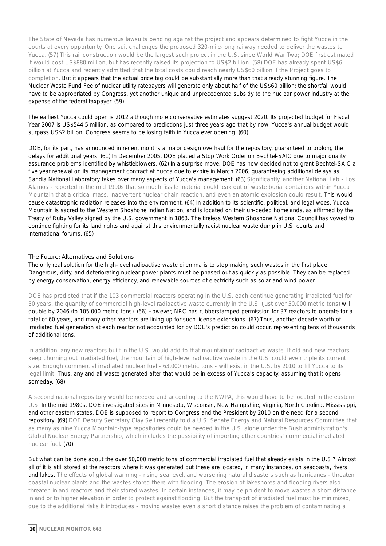The State of Nevada has numerous lawsuits pending against the project and appears determined to fight Yucca in the courts at every opportunity. One suit challenges the proposed 320-mile-long railway needed to deliver the wastes to Yucca. (57) This rail construction would be the largest such project in the U.S. since World War Two; DOE first estimated it would cost US\$880 million, but has recently raised its projection to US\$2 billion. (58) DOE has already spent US\$6 billion at Yucca and recently admitted that the total costs could reach nearly US\$60 billion if the Project goes to completion. But it appears that the actual price tag could be substantially more than that already stunning figure. The Nuclear Waste Fund Fee of nuclear utility ratepayers will generate only about half of the US\$60 billion; the shortfall would have to be appropriated by Congress, yet another unique and unprecedented subsidy to the nuclear power industry at the expense of the federal taxpayer. (59)

The earliest Yucca could open is 2012 although more conservative estimates suggest 2020. Its projected budget for Fiscal Year 2007 is US\$544.5 million, as compared to predictions just three years ago that by now, Yucca's annual budget would surpass US\$2 billion. Congress seems to be losing faith in Yucca ever opening. (60)

DOE, for its part, has announced in recent months a major design overhaul for the repository, guaranteed to prolong the delays for additional years. (61) In December 2005, DOE placed a Stop Work Order on Bechtel-SAIC due to major quality assurance problems identified by whistleblowers. (62) In a surprise move, DOE has now decided not to grant Bechtel-SAIC a five year renewal on its management contract at Yucca due to expire in March 2006, guaranteeing additional delays as Sandia National Laboratory takes over many aspects of Yucca's management. (63) Significantly, another National Lab - Los Alamos - reported in the mid 1990s that so much fissile material could leak out of waste burial containers within Yucca Mountain that a critical mass, inadvertent nuclear chain reaction, and even an atomic explosion could result. This would cause catastrophic radiation releases into the environment. (64) In addition to its scientific, political, and legal woes, Yucca Mountain is sacred to the Western Shoshone Indian Nation, and is located on their un-ceded homelands, as affirmed by the Treaty of Ruby Valley signed by the U.S. government in 1863. The tireless Western Shoshone National Council has vowed to continue fighting for its land rights and against this environmentally racist nuclear waste dump in U.S. courts and international forums. (65)

#### **The Future: Alternatives and Solutions**

The only real solution for the high-level radioactive waste dilemma is to stop making such wastes in the first place. Dangerous, dirty, and deteriorating nuclear power plants must be phased out as quickly as possible. They can be replaced by energy conservation, energy efficiency, and renewable sources of electricity such as solar and wind power.

DOE has predicted that if the 103 commercial reactors operating in the U.S. each continue generating irradiated fuel for 50 years, the quantity of commercial high-level radioactive waste currently in the U.S. (just over 50,000 metric tons) will double by 2046 (to 105,000 metric tons). (66) However, NRC has rubberstamped permission for 37 reactors to operate for a total of 60 years, and many other reactors are lining up for such license extensions. (67) Thus, another decade worth of irradiated fuel generation at each reactor not accounted for by DOE's prediction could occur, representing tens of thousands of additional tons.

In addition, any new reactors built in the U.S. would add to that mountain of radioactive waste. If old and new reactors keep churning out irradiated fuel, the mountain of high-level radioactive waste in the U.S. could even triple its current size. Enough commercial irradiated nuclear fuel - 63,000 metric tons - will exist in the U.S. by 2010 to fill Yucca to its legal limit. Thus, any and all waste generated after that would be in excess of Yucca's capacity, assuming that it opens someday. (68)

A second national repository would be needed and according to the NWPA, this would have to be located in the eastern U.S. In the mid 1980s, DOE investigated sites in Minnesota, Wisconsin, New Hampshire, Virginia, North Carolina, Mississippi, and other eastern states. DOE is supposed to report to Congress and the President by 2010 on the need for a second repository. (69) DOE Deputy Secretary Clay Sell recently told a U.S. Senate Energy and Natural Resources Committee that as many as nine Yucca Mountain-type repositories could be needed in the U.S. alone under the Bush administration's Global Nuclear Energy Partnership, which includes the possibility of importing other countries' commercial irradiated nuclear fuel. (70)

But what can be done about the over 50,000 metric tons of commercial irradiated fuel that already exists in the U.S.? Almost all of it is still stored at the reactors where it was generated but these are located, in many instances, on seacoasts, rivers and lakes. The effects of global warming - rising sea level, and worsening natural disasters such as hurricanes - threaten coastal nuclear plants and the wastes stored there with flooding. The erosion of lakeshores and flooding rivers also threaten inland reactors and their stored wastes. In certain instances, it may be prudent to move wastes a short distance inland or to higher elevation in order to protect against flooding. But the transport of irradiated fuel must be minimized, due to the additional risks it introduces - moving wastes even a short distance raises the problem of contaminating a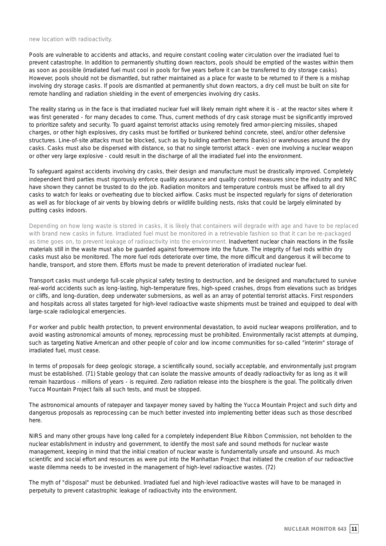new location with radioactivity.

Pools are vulnerable to accidents and attacks, and require constant cooling water circulation over the irradiated fuel to prevent catastrophe. In addition to permanently shutting down reactors, pools should be emptied of the wastes within them as soon as possible (irradiated fuel must cool in pools for five years before it can be transferred to dry storage casks). However, pools should not be dismantled, but rather maintained as a place for waste to be returned to if there is a mishap involving dry storage casks. If pools are dismantled at permanently shut down reactors, a dry cell must be built on site for remote handling and radiation shielding in the event of emergencies involving dry casks.

The reality staring us in the face is that irradiated nuclear fuel will likely remain right where it is - at the reactor sites where it was first generated - for many decades to come. Thus, current methods of dry cask storage must be significantly improved to prioritize safety and security. To guard against terrorist attacks using remotely fired armor-piercing missiles, shaped charges, or other high explosives, dry casks must be fortified or bunkered behind concrete, steel, and/or other defensive structures. Line-of-site attacks must be blocked, such as by building earthen berms (banks) or warehouses around the dry casks. Casks must also be dispersed with distance, so that no single terrorist attack - even one involving a nuclear weapon or other very large explosive - could result in the discharge of all the irradiated fuel into the environment.

To safeguard against accidents involving dry casks, their design and manufacture must be drastically improved. Completely independent third parties must rigorously enforce quality assurance and quality control measures since the industry and NRC have shown they cannot be trusted to do the job. Radiation monitors and temperature controls must be affixed to all dry casks to watch for leaks or overheating due to blocked airflow. Casks must be inspected regularly for signs of deterioration as well as for blockage of air vents by blowing debris or wildlife building nests, risks that could be largely eliminated by putting casks indoors.

Depending on how long waste is stored in casks, it is likely that containers will degrade with age and have to be replaced with brand new casks in future. Irradiated fuel must be monitored in a retrievable fashion so that it can be re-packaged as time goes on, to prevent leakage of radioactivity into the environment. Inadvertent nuclear chain reactions in the fissile materials still in the waste must also be guarded against forevermore into the future. The integrity of fuel rods within dry casks must also be monitored. The more fuel rods deteriorate over time, the more difficult and dangerous it will become to handle, transport, and store them. Efforts must be made to prevent deterioration of irradiated nuclear fuel.

Transport casks must undergo full-scale physical safety testing to destruction, and be designed and manufactured to survive real-world accidents such as long-lasting, high-temperature fires, high-speed crashes, drops from elevations such as bridges or cliffs, and long-duration, deep underwater submersions, as well as an array of potential terrorist attacks. First responders and hospitals across all states targeted for high-level radioactive waste shipments must be trained and equipped to deal with large-scale radiological emergencies.

For worker and public health protection, to prevent environmental devastation, to avoid nuclear weapons proliferation, and to avoid wasting astronomical amounts of money, reprocessing must be prohibited. Environmentally racist attempts at dumping, such as targeting Native American and other people of color and low income communities for so-called "interim" storage of irradiated fuel, must cease.

In terms of proposals for deep geologic storage, a scientifically sound, socially acceptable, and environmentally just program must be established. (71) Stable geology that can isolate the massive amounts of deadly radioactivity for as long as it will remain hazardous - millions of years - is required. Zero radiation release into the biosphere is the goal. The politically driven Yucca Mountain Project fails all such tests, and must be stopped.

The astronomical amounts of ratepayer and taxpayer money saved by halting the Yucca Mountain Project and such dirty and dangerous proposals as reprocessing can be much better invested into implementing better ideas such as those described here.

NIRS and many other groups have long called for a completely independent Blue Ribbon Commission, not beholden to the nuclear establishment in industry and government, to identify the most safe and sound methods for nuclear waste management, keeping in mind that the initial creation of nuclear waste is fundamentally unsafe and unsound. As much scientific and social effort and resources as were put into the Manhattan Project that initiated the creation of our radioactive waste dilemma needs to be invested in the management of high-level radioactive wastes. (72)

The myth of "disposal" must be debunked. Irradiated fuel and high-level radioactive wastes will have to be managed in perpetuity to prevent catastrophic leakage of radioactivity into the environment.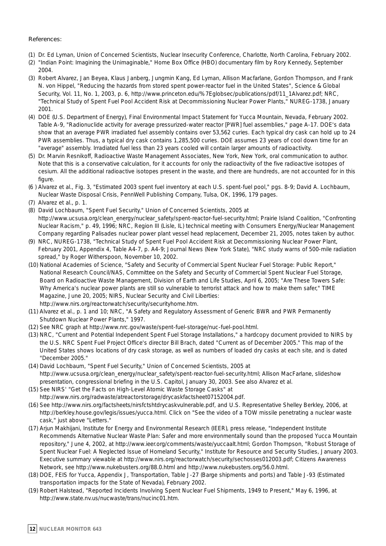#### **References:**

- (1) Dr. Ed Lyman, Union of Concerned Scientists, Nuclear Insecurity Conference, Charlotte, North Carolina, February 2002.
- (2) "Indian Point: Imagining the Unimaginable," Home Box Office (HBO) documentary film by Rory Kennedy, September 2004.
- (3) Robert Alvarez, Jan Beyea, Klaus Janberg, Jungmin Kang, Ed Lyman, Allison Macfarlane, Gordon Thompson, and Frank N. von Hippel, "Reducing the hazards from stored spent power-reactor fuel in the United States", Science & Global Security, Vol. 11, No. 1, 2003, p. 6, http://www.princeton.edu/%7Eglobsec/publications/pdf/11\_1Alvarez.pdf; NRC, "Technical Study of Spent Fuel Pool Accident Risk at Decommissioning Nuclear Power Plants," NUREG-1738, January 2001.
- (4) DOE (U.S. Department of Energy), Final Environmental Impact Statement for Yucca Mountain, Nevada, February 2002. Table A-9, "Radionuclide activity for average pressurized-water reactor [PWR] fuel assemblies," page A-17. DOE's data show that an average PWR irradiated fuel assembly contains over 53,562 curies. Each typical dry cask can hold up to 24 PWR assemblies. Thus, a typical dry cask contains 1,285,500 curies. DOE assumes 23 years of cool down time for an "average" assembly. Irradiated fuel less than 23 years cooled will contain larger amounts of radioactivity.
- (5) Dr. Marvin Resnikoff, Radioactive Waste Management Associates, New York, New York, oral communication to author. Note that this is a conservative calculation, for it accounts for only the radioactivity of the five radioactive isotopes of cesium. All the additional radioactive isotopes present in the waste, and there are hundreds, are not accounted for in this figure.
- (6 ) Alvarez et al., Fig. 3, "Estimated 2003 spent fuel inventory at each U.S. spent-fuel pool," pgs. 8-9; David A. Lochbaum, Nuclear Waste Disposal Crisis, PennWell Publishing Company, Tulsa, OK, 1996, 179 pages.
- (7) Alvarez et al., p. 1.
- (8) David Lochbaum, "Spent Fuel Security," Union of Concerned Scientists, 2005 at http://www.ucsusa.org/clean\_energy/nuclear\_safety/spent-reactor-fuel-security.html; Prairie Island Coalition, "Confronting Nuclear Racism," p. 49, 1996; NRC, Region III (Lisle, IL) technical meeting with Consumers Energy/Nuclear Management Company regarding Palisades nuclear power plant vessel head replacement, December 21, 2005, notes taken by author.
- (9) NRC, NUREG-1738, "Technical Study of Spent Fuel Pool Accident Risk at Decommissioning Nuclear Power Plant, February 2001, Appendix 4, Table A4-7, p. A4-9; Journal News (New York State), "NRC study warns of 500-mile radiation spread," by Roger Witherspoon, November 10, 2002.
- (10) National Academies of Science, "Safety and Security of Commercial Spent Nuclear Fuel Storage: Public Report," National Research Council/NAS, Committee on the Safety and Security of Commercial Spent Nuclear Fuel Storage, Board on Radioactive Waste Management, Division of Earth and Life Studies, April 6, 2005; "Are These Towers Safe: Why America's nuclear power plants are still so vulnerable to terrorist attack and how to make them safer," TIME Magazine, June 20, 2005; NIRS, Nuclear Security and Civil Liberties: http://www.nirs.org/reactorwatch/security/securityhome.htm.
- (11) Alvarez et al., p. 1 and 10; NRC, "A Safety and Regulatory Assessment of Generic BWR and PWR Permanently Shutdown Nuclear Power Plants," 1997.
- (12) See NRC graph at http://www.nrc.gov/waste/spent-fuel-storage/nuc-fuel-pool.html.
- (13) NRC, "Current and Potential Independent Spent Fuel Storage Installations," a hardcopy document provided to NIRS by the U.S. NRC Spent Fuel Project Office's director Bill Brach, dated "Current as of December 2005." This map of the United States shows locations of dry cask storage, as well as numbers of loaded dry casks at each site, and is dated "December 2005."
- (14) David Lochbaum, "Spent Fuel Security," Union of Concerned Scientists, 2005 at http://www.ucsusa.org/clean\_energy/nuclear\_safety/spent-reactor-fuel-security.html; Allison MacFarlane, slideshow presentation, congressional briefing in the U.S. Capitol, January 30, 2003. See also Alvarez et al.
- (15) See NIRS' "Get the Facts on High-Level Atomic Waste Storage Casks" at http://www.nirs.org/radwaste/atreactorstorage/drycaskfactsheet07152004.pdf.
- (16) See http://www.nirs.org/factsheets/nirsfctshtdrycaskvulnerable.pdf, and U.S. Representative Shelley Berkley, 2006, at http://berkley.house.gov/legis/issues/yucca.html. Click on "See the video of a TOW missile penetrating a nuclear waste cask," just above "Letters."
- (17) Arjun Makhijani, Institute for Energy and Environmental Research (IEER), press release, "Independent Institute Recommends Alternative Nuclear Waste Plan: Safer and more environmentally sound than the proposed Yucca Mountain repository," June 4, 2002, at http://www.ieer.org/comments/waste/yuccaalt.html; Gordon Thompson, "Robust Storage of Spent Nuclear Fuel: A Neglected Issue of Homeland Security," Institute for Resource and Security Studies, January 2003. Executive summary viewable at http://www.nirs.org/reactorwatch/security/sechosses012003.pdf; Citizens Awareness Network, see http://www.nukebusters.org/88.0.html and http://www.nukebusters.org/56.0.html.
- (18) DOE, FEIS for Yucca, Appendix J, Transportation, Table J-27 (Barge shipments and ports) and Table J-93 (Estimated transportation impacts for the State of Nevada), February 2002.
- (19) Robert Halstead, "Reported Incidents Involving Spent Nuclear Fuel Shipments, 1949 to Present," May 6, 1996, at http://www.state.nv.us/nucwaste/trans/nucinc01.htm.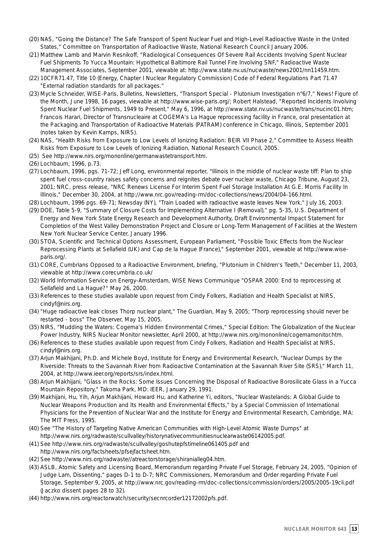- (20) NAS, "Going the Distance? The Safe Transport of Spent Nuclear Fuel and High-Level Radioactive Waste in the United States," Committee on Transportation of Radioactive Waste, National Research Council January 2006.
- (21) Matthew Lamb and Marvin Resnikoff, "Radiological Consequences Of Severe Rail Accidents Involving Spent Nuclear Fuel Shipments To Yucca Mountain: Hypothetical Baltimore Rail Tunnel Fire Involving SNF," Radioactive Waste Management Associates, September 2001, viewable at: http://www.state.nv.us/nucwaste/news2001/nn11459.htm.
- (22) 10CFR71.47, Title 10 (Energy, Chapter I Nuclear Regulatory Commission) Code of Federal Regulations Part 71.47 "External radiation standards for all packages."
- (23) Mycle Schneider, WISE-Paris, Bulletins, Newsletters, "Transport Special Plutonium Investigation n°6/7," News! Figure of the Month, June 1998, 16 pages, viewable at http://www.wise-paris.org/; Robert Halstead, "Reported Incidents Involving Spent Nuclear Fuel Shipments, 1949 to Present," May 6, 1996, at http://www.state.nv.us/nucwaste/trans/nucinc01.htm; Francois Harari, Director of Transnucleaire at COGEMA's La Hague reprocessing facility in France, oral presentation at the Packaging and Transportation of Radioactive Materials (PATRAM) conference in Chicago, Illinois, September 2001 (notes taken by Kevin Kamps, NIRS).
- (24) NAS, "Health Risks from Exposure to Low Levels of Ionizing Radiation: BEIR VII Phase 2," Committee to Assess Health Risks from Exposure to Low Levels of Ionizing Radiation, National Research Council, 2005.
- (25) See http://www.nirs.org/mononline/germanwastetransport.htm.
- (26) Lochbaum, 1996, p.73.
- (27) Lochbaum, 1996, pgs. 71-72; Jeff Long, environmental reporter, "Illinois in the middle of nuclear waste tiff: Plan to ship spent fuel cross-country raises safety concerns and reignites debate over nuclear waste, Chicago Tribune, August 23, 2001; NRC, press release, "NRC Renews License For Interim Spent Fuel Storage Installation At G.E. Morris Facility In Illinois," December 30, 2004, at http://www.nrc.gov/reading-rm/doc-collections/news/2004/04-166.html.
- (28) Lochbaum, 1996 pgs. 69-71; Newsday (NY), "Train Loaded with radioactive waste leaves New York," July 16, 2003.
- (29) DOE, Table 5-9, "Summary of Closure Costs for Implementing Alternative I (Removal)," pg. 5-35, U.S. Department of Energy and New York State Energy Research and Development Authority, Draft Environmental Impact Statement for Completion of the West Valley Demonstration Project and Closure or Long-Term Management of Facilities at the Western New York Nuclear Service Center, January 1996.
- (30) STOA, Scientific and Technical Options Assessment, European Parliament, "Possible Toxic Effects from the Nuclear Reprocessing Plants at Sellafield (UK) and Cap de la Hague (France)," September 2001, viewable at http://www.wiseparis.org/.
- (31) CORE, Cumbrians Opposed to a Radioactive Environment, briefing, "Plutonium in Children's Teeth," December 11, 2003, viewable at http://www.corecumbria.co.uk/
- (32) World Information Service on Energy-Amsterdam, WISE News Communique "OSPAR 2000: End to reprocessing at Sellafield and La Hague?" May 26, 2000.
- (33) References to these studies available upon request from Cindy Folkers, Radiation and Health Specialist at NIRS, cindyf@nirs.org.
- (34) "Huge radioactive leak closes Thorp nuclear plant," The Guardian, May 9, 2005; "Thorp reprocessing should never be restarted - boss" The Observer, May 15, 2005.
- (35) NIRS, "Mudding the Waters: Cogema's Hidden Environmental Crimes," Special Edition: The Globalization of the Nuclear Power Industry, NIRS Nuclear Monitor newsletter, April 2000, at http://www.nirs.org/mononline/cogemamonitor.htm.
- (36) References to these studies available upon request from Cindy Folkers, Radiation and Health Specialist at NIRS, cindyf@nirs.org.
- (37) Arjun Makhijani, Ph.D. and Michele Boyd, Institute for Energy and Environmental Research, "Nuclear Dumps by the Riverside: Threats to the Savannah River from Radioactive Contamination at the Savannah River Site (SRS)," March 11, 2004, at http://www.ieer.org/reports/srs/index.html.
- (38) Arjun Makhijani, "Glass in the Rocks: Some Issues Concerning the Disposal of Radioactive Borosilicate Glass in a Yucca Mountain Repository," Takoma Park, MD: IEER, January 29, 1991.
- (39) Makhijani, Hu, Yih, Arjun Makhijani, Howard Hu, and Katherine Yi, editors, "Nuclear Wastelands: A Global Guide to Nuclear Weapons Production and Its Health and Environmental Effects," by a Special Commission of International Physicians for the Prevention of Nuclear War and the Institute for Energy and Environmental Research, Cambridge, MA: The MIT Press, 1995.
- (40) See "The History of Targeting Native American Communities with High-Level Atomic Waste Dumps" at http://www.nirs.org/radwaste/scullvalley/historynativecommunitiesnuclearwaste06142005.pdf.
- (41) See http://www.nirs.org/radwaste/scullvalley/goshutepfstimeline061405.pdf and http://www.nirs.org/factsheets/pfsejfactsheet.htm.
- (42) See http://www.nirs.org/radwaste//atreactorstorage/shiranialleg04.htm.
- (43) ASLB, Atomic Safety and Licensing Board, Memorandum regarding Private Fuel Storage, February 24, 2005, "Opinion of Judge Lam, Dissenting," pages D-1 to D-7; NRC Commissioners, Memorandum and Order regarding Private Fuel Storage, September 9, 2005, at http://www.nrc.gov/reading-rm/doc-collections/commission/orders/2005/2005-19cli.pdf (Jaczko dissent pages 28 to 32).
- (44) http://www.nirs.org/reactorwatch/security/secnrcorder12172002pfs.pdf.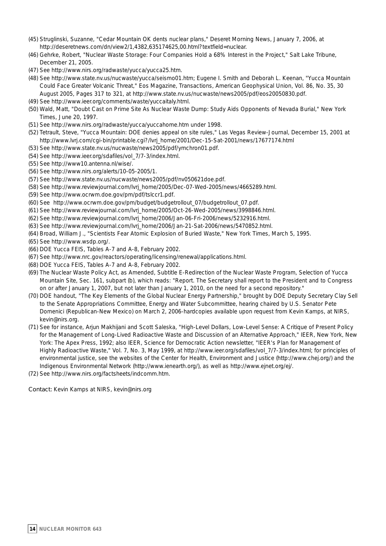- (45) Struglinski, Suzanne, "Cedar Mountain OK dents nuclear plans," Deseret Morning News, January 7, 2006, at http://deseretnews.com/dn/view2/1,4382,635174625,00.html?textfield=nuclear.
- (46) Gehrke, Robert, "Nuclear Waste Storage: Four Companies Hold a 68% Interest in the Project," Salt Lake Tribune, December 21, 2005.
- (47) See http://www.nirs.org/radwaste/yucca/yucca25.htm.
- (48) See http://www.state.nv.us/nucwaste/yucca/seismo01.htm; Eugene I. Smith and Deborah L. Keenan, "Yucca Mountain Could Face Greater Volcanic Threat," Eos Magazine, Transactions, American Geophysical Union, Vol. 86, No. 35, 30 August 2005, Pages 317 to 321, at http://www.state.nv.us/nucwaste/news2005/pdf/eos20050830.pdf.
- (49) See http://www.ieer.org/comments/waste/yuccaitaly.html.
- (50) Wald, Matt, "Doubt Cast on Prime Site As Nuclear Waste Dump: Study Aids Opponents of Nevada Burial," New York Times, June 20, 1997.
- (51) See http://www.nirs.org/radwaste/yucca/yuccahome.htm under 1998.
- (52) Tetrault, Steve, "Yucca Mountain: DOE denies appeal on site rules," Las Vegas Review-Journal, December 15, 2001 at http://www.lvrj.com/cgi-bin/printable.cgi?/lvrj\_home/2001/Dec-15-Sat-2001/news/17677174.html
- (53) See http://www.state.nv.us/nucwaste/news2005/pdf/ymchron01.pdf.
- (54) See http://www.ieer.org/sdafiles/vol\_7/7-3/index.html.
- (55) See http://www10.antenna.nl/wise/.
- (56) See http://www.nirs.org/alerts/10-05-2005/1.
- (57) See http://www.state.nv.us/nucwaste/news2005/pdf/nv050621doe.pdf.
- (58) See http://www.reviewjournal.com/lvrj\_home/2005/Dec-07-Wed-2005/news/4665289.html.
- (59) See http://www.ocrwm.doe.gov/pm/pdf/tslccr1.pdf.
- (60) See http://www.ocrwm.doe.gov/pm/budget/budgetrollout\_07/budgetrollout\_07.pdf.
- (61) See http://www.reviewjournal.com/lvrj\_home/2005/Oct-26-Wed-2005/news/3998846.html.
- (62) See http://www.reviewjournal.com/lvrj\_home/2006/Jan-06-Fri-2006/news/5232916.html.
- (63) See http://www.reviewjournal.com/lvrj\_home/2006/Jan-21-Sat-2006/news/5470852.html.
- (64) Broad, William J., "Scientists Fear Atomic Explosion of Buried Waste," New York Times, March 5, 1995.

(65) See http://www.wsdp.org/.

- (66) DOE Yucca FEIS, Tables A-7 and A-8, February 2002.
- (67) See http://www.nrc.gov/reactors/operating/licensing/renewal/applications.html.
- (68) DOE Yucca FEIS, Tables A-7 and A-8, February 2002.
- (69) The Nuclear Waste Policy Act, as Amended, Subtitle E-Redirection of the Nuclear Waste Program, Selection of Yucca Mountain Site, Sec. 161, subpart (b), which reads: "Report. The Secretary shall report to the President and to Congress on or after January 1, 2007, but not later than January 1, 2010, on the need for a second repository."
- (70) DOE handout, "The Key Elements of the Global Nuclear Energy Partnership," brought by DOE Deputy Secretary Clay Sell to the Senate Appropriations Committee, Energy and Water Subcommittee, hearing chaired by U.S. Senator Pete Domenici (Republican-New Mexico) on March 2, 2006-hardcopies available upon request from Kevin Kamps, at NIRS, kevin@nirs.org.
- (71) See for instance, Arjun Makhijani and Scott Saleska, "High-Level Dollars, Low-Level Sense: A Critique of Present Policy for the Management of Long-Lived Radioactive Waste and Discussion of an Alternative Approach," IEER, New York, New York: The Apex Press, 1992; also IEER, Science for Democratic Action newsletter, "IEER's Plan for Management of Highly Radioactive Waste," Vol. 7, No. 3, May 1999, at http://www.ieer.org/sdafiles/vol\_7/7-3/index.html; for principles of environmental justice, see the websites of the Center for Health, Environment and Justice (http://www.chej.org/) and the Indigenous Environmental Network (http://www.ienearth.org/), as well as http://www.ejnet.org/ej/.
- (72) See http://www.nirs.org/factsheets/indcomm.htm.

**Contact:** Kevin Kamps at NIRS, kevin@nirs.org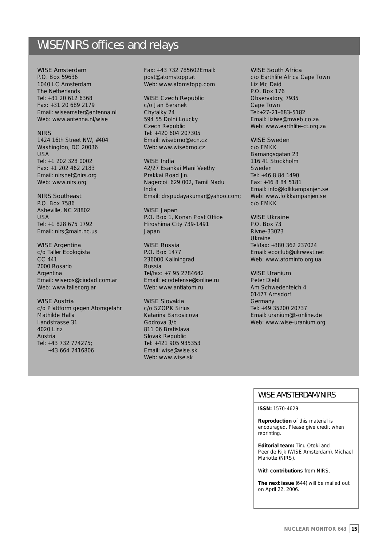#### WISE/NIRS offices and relays

#### **WISE Amsterdam**

P.O. Box 59636 1040 LC Amsterdam The Netherlands Tel: +31 20 612 6368 Fax: +31 20 689 2179 Email: wiseamster@antenna.nl Web: www.antenna.nl/wise

#### **NIRS**

1424 16th Street NW, #404 Washington, DC 20036 USA Tel: +1 202 328 0002 Fax: +1 202 462 2183 Email: nirsnet@nirs.org Web: www.nirs.org

#### **NIRS Southeast**

P.O. Box 7586 Asheville, NC 28802 USA Tel: +1 828 675 1792 Email: nirs@main.nc.us

#### **WISE Argentina**

c/o Taller Ecologista CC 441 2000 Rosario **Argentina** Email: wiseros@ciudad.com.ar Web: www.taller.org.ar

#### **WISE Austria**

c/o Plattform gegen Atomgefahr Mathilde Halla Landstrasse 31 4020 Linz Austria Tel: +43 732 774275; +43 664 2416806

Fax: +43 732 785602Email: post@atomstopp.at Web: www.atomstopp.com

#### **WISE Czech Republic**

c/o Jan Beranek Chytalky 24 594 55 Dolni Loucky Czech Republic Tel: +420 604 207305 Email: wisebrno@ecn.cz Web: www.wisebrno.cz

#### **WISE India**

42/27 Esankai Mani Veethy Prakkai Road Jn. Nagercoil 629 002, Tamil Nadu India Email: drspudayakumar@yahoo.com;

**WISE Japan** P.O. Box 1, Konan Post Office Hiroshima City 739-1491 Japan

#### **WISE Russia**

P.O. Box 1477 236000 Kaliningrad Russia Tel/fax: +7 95 2784642 Email: ecodefense@online.ru Web: www.antiatom.ru

#### **WISE Slovakia**

c/o SZOPK Sirius Katarina Bartovicova Godrova 3/b 811 06 Bratislava Slovak Republic Tel: +421 905 935353 Email: wise@wise.sk Web: www.wise.sk

#### **WISE South Africa**

c/o Earthlife Africa Cape Town Liz Mc Daid P.O. Box 176 Observatory, 7935 Cape Town Tel:+27-21-683-5182 Email: liziwe@mweb.co.za Web: www.earthlife-ct.org.za

#### **WISE Sweden**

c/o FMKK Barnängsgatan 23 116 41 Stockholm Sweden Tel: +46 8 84 1490 Fax: +46 8 84 5181 Email: info@folkkampanjen.se Web: www.folkkampanjen.se c/o FMKK

#### **WISE Ukraine**

P.O. Box 73 Rivne-33023 Ukraine Tel/fax: +380 362 237024 Email: ecoclub@ukrwest.net Web: www.atominfo.org.ua

#### **WISE Uranium**

Peter Diehl Am Schwedenteich 4 01477 Arnsdorf Germany Tel: +49 35200 20737 Email: uranium@t-online.de Web: www.wise-uranium.org

#### WISE AMSTERDAM/NIRS

#### **ISSN:** 1570-4629

**Reproduction** of this material is encouraged. Please give credit when reprinting.

**Editorial team:** Tinu Otoki and Peer de Rijk (WISE Amsterdam), Michael Mariotte (NIRS).

With **contributions** from NIRS.

**The next issue** (644) will be mailed out on April 22, 2006.